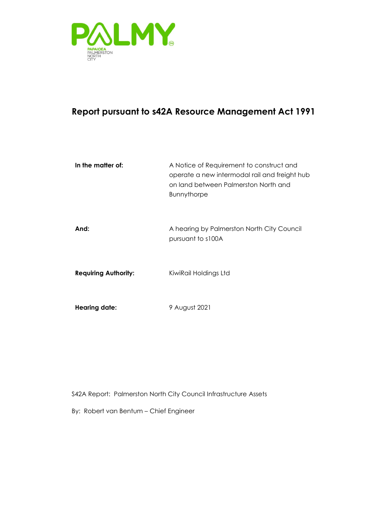

#### **Report pursuant to s42A Resource Management Act 1991**

| In the matter of:           | A Notice of Requirement to construct and<br>operate a new intermodal rail and freight hub<br>on land between Palmerston North and<br><b>Bunnythorpe</b> |
|-----------------------------|---------------------------------------------------------------------------------------------------------------------------------------------------------|
| And:                        | A hearing by Palmerston North City Council<br>pursuant to s100A                                                                                         |
| <b>Requiring Authority:</b> | KiwiRail Holdings Ltd                                                                                                                                   |
| <b>Hearing date:</b>        | 9 August 2021                                                                                                                                           |

S42A Report: Palmerston North City Council Infrastructure Assets

By: Robert van Bentum – Chief Engineer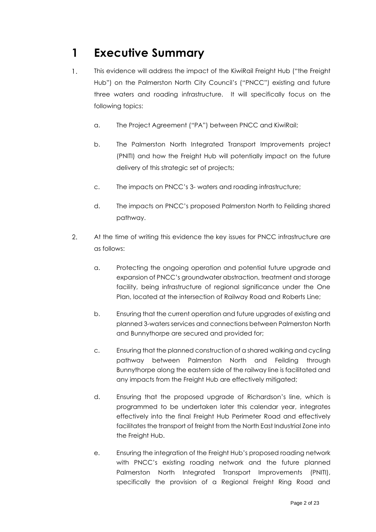# **1 Executive Summary**

- $1.$ This evidence will address the impact of the KiwiRail Freight Hub ("the Freight Hub") on the Palmerston North City Council's ("PNCC") existing and future three waters and roading infrastructure. It will specifically focus on the following topics:
	- a. The Project Agreement ("PA") between PNCC and KiwiRail;
	- b. The Palmerston North Integrated Transport Improvements project (PNITI) and how the Freight Hub will potentially impact on the future delivery of this strategic set of projects;
	- c. The impacts on PNCC's 3- waters and roading infrastructure;
	- d. The impacts on PNCC's proposed Palmerston North to Feilding shared pathway.
- $2.$ At the time of writing this evidence the key issues for PNCC infrastructure are as follows:
	- a. Protecting the ongoing operation and potential future upgrade and expansion of PNCC's groundwater abstraction, treatment and storage facility, being infrastructure of regional significance under the One Plan, located at the intersection of Railway Road and Roberts Line;
	- b. Ensuring that the current operation and future upgrades of existing and planned 3-waters services and connections between Palmerston North and Bunnythorpe are secured and provided for;
	- c. Ensuring that the planned construction of a shared walking and cycling pathway between Palmerston North and Feilding through Bunnythorpe along the eastern side of the railway line is facilitated and any impacts from the Freight Hub are effectively mitigated;
	- d. Ensuring that the proposed upgrade of Richardson's line, which is programmed to be undertaken later this calendar year, integrates effectively into the final Freight Hub Perimeter Road and effectively facilitates the transport of freight from the North East Industrial Zone into the Freight Hub.
	- e. Ensuring the integration of the Freight Hub's proposed roading network with PNCC's existing roading network and the future planned Palmerston North Integrated Transport Improvements (PNITI), specifically the provision of a Regional Freight Ring Road and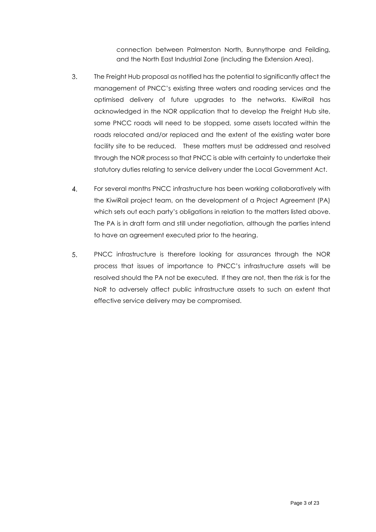connection between Palmerston North, Bunnythorpe and Feilding, and the North East Industrial Zone (including the Extension Area).

- 3. The Freight Hub proposal as notified has the potential to significantly affect the management of PNCC's existing three waters and roading services and the optimised delivery of future upgrades to the networks. KiwiRail has acknowledged in the NOR application that to develop the Freight Hub site, some PNCC roads will need to be stopped, some assets located within the roads relocated and/or replaced and the extent of the existing water bore facility site to be reduced. These matters must be addressed and resolved through the NOR process so that PNCC is able with certainty to undertake their statutory duties relating to service delivery under the Local Government Act.
- $\overline{4}$ . For several months PNCC infrastructure has been working collaboratively with the KiwiRail project team, on the development of a Project Agreement (PA) which sets out each party's obligations in relation to the matters listed above. The PA is in draft form and still under negotiation, although the parties intend to have an agreement executed prior to the hearing.
- 5. PNCC infrastructure is therefore looking for assurances through the NOR process that issues of importance to PNCC's infrastructure assets will be resolved should the PA not be executed. If they are not, then the risk is for the NoR to adversely affect public infrastructure assets to such an extent that effective service delivery may be compromised.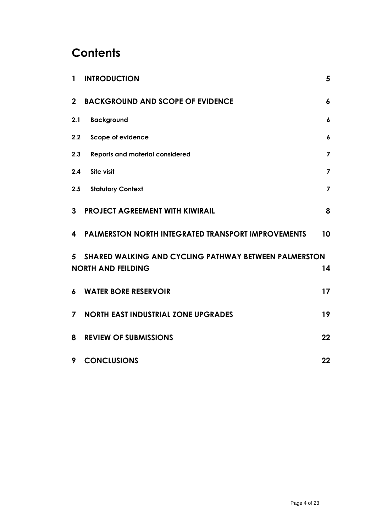# **Contents**

| $\mathbf{1}$     | <b>INTRODUCTION</b>                                       | 5                       |
|------------------|-----------------------------------------------------------|-------------------------|
| 2 <sup>1</sup>   | <b>BACKGROUND AND SCOPE OF EVIDENCE</b>                   | 6                       |
| 2.1              | <b>Background</b>                                         | $\boldsymbol{6}$        |
| 2.2              | Scope of evidence                                         | 6                       |
| 2.3              | <b>Reports and material considered</b>                    | $\overline{\mathbf{z}}$ |
| 2.4              | Site visit                                                | $\overline{\mathbf{z}}$ |
| 2.5              | <b>Statutory Context</b>                                  | $\overline{7}$          |
| 3                | <b>PROJECT AGREEMENT WITH KIWIRAIL</b>                    | 8                       |
| 4                | <b>PALMERSTON NORTH INTEGRATED TRANSPORT IMPROVEMENTS</b> | 10                      |
| 5                | SHARED WALKING AND CYCLING PATHWAY BETWEEN PALMERSTON     |                         |
|                  | <b>NORTH AND FEILDING</b>                                 | 14                      |
| $\boldsymbol{6}$ | <b>WATER BORE RESERVOIR</b>                               | 17                      |
| $\overline{7}$   | <b>NORTH EAST INDUSTRIAL ZONE UPGRADES</b>                | 19                      |
| 8                | <b>REVIEW OF SUBMISSIONS</b>                              | 22                      |
| 9                | <b>CONCLUSIONS</b>                                        | 22                      |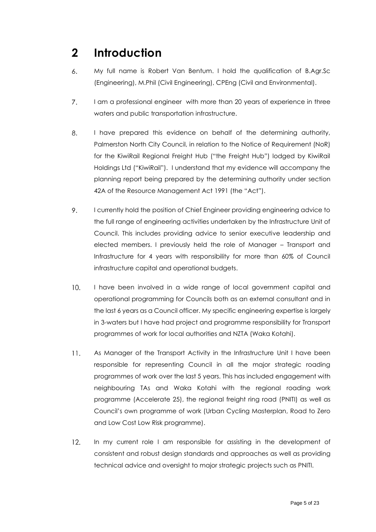## <span id="page-4-0"></span>**2 Introduction**

- 6. My full name is Robert Van Bentum. I hold the qualification of B.Agr.Sc (Engineering), M.Phil (Civil Engineering), CPEng (Civil and Environmental).
- $7.$ I am a professional engineer with more than 20 years of experience in three waters and public transportation infrastructure.
- 8. I have prepared this evidence on behalf of the determining authority, Palmerston North City Council, in relation to the Notice of Requirement (NoR) for the KiwiRail Regional Freight Hub ("the Freight Hub") lodged by KiwiRail Holdings Ltd ("KiwiRail"). I understand that my evidence will accompany the planning report being prepared by the determining authority under section 42A of the Resource Management Act 1991 (the "Act").
- 9. I currently hold the position of Chief Engineer providing engineering advice to the full range of engineering activities undertaken by the Infrastructure Unit of Council. This includes providing advice to senior executive leadership and elected members. I previously held the role of Manager – Transport and Infrastructure for 4 years with responsibility for more than 60% of Council infrastructure capital and operational budgets.
- $10.$ I have been involved in a wide range of local government capital and operational programming for Councils both as an external consultant and in the last 6 years as a Council officer. My specific engineering expertise is largely in 3-waters but I have had project and programme responsibility for Transport programmes of work for local authorities and NZTA (Waka Kotahi).
- $11.$ As Manager of the Transport Activity in the Infrastructure Unit I have been responsible for representing Council in all the major strategic roading programmes of work over the last 5 years. This has included engagement with neighbouring TAs and Waka Kotahi with the regional roading work programme (Accelerate 25), the regional freight ring road (PNITI) as well as Council's own programme of work (Urban Cycling Masterplan, Road to Zero and Low Cost Low Risk programme).
- $12.$ In my current role I am responsible for assisting in the development of consistent and robust design standards and approaches as well as providing technical advice and oversight to major strategic projects such as PNITI.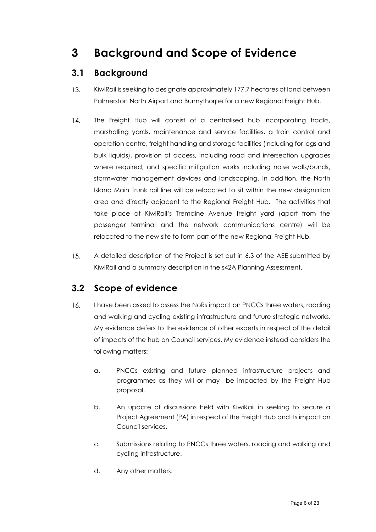# <span id="page-5-0"></span>**3 Background and Scope of Evidence**

#### <span id="page-5-1"></span>**3.1 Background**

- $13.$ KiwiRail is seeking to designate approximately 177.7 hectares of land between Palmerston North Airport and Bunnythorpe for a new Regional Freight Hub.
- $14.$ The Freight Hub will consist of a centralised hub incorporating tracks, marshalling yards, maintenance and service facilities, a train control and operation centre, freight handling and storage facilities (including for logs and bulk liquids), provision of access, including road and intersection upgrades where required, and specific mitigation works including noise walls/bunds, stormwater management devices and landscaping. In addition, the North Island Main Trunk rail line will be relocated to sit within the new designation area and directly adjacent to the Regional Freight Hub. The activities that take place at KiwiRail's Tremaine Avenue freight yard (apart from the passenger terminal and the network communications centre) will be relocated to the new site to form part of the new Regional Freight Hub.
- $15.$ A detailed description of the Project is set out in 6.3 of the AEE submitted by KiwiRail and a summary description in the s42A Planning Assessment.

#### <span id="page-5-2"></span>**3.2 Scope of evidence**

- $16.$ I have been asked to assess the NoRs impact on PNCCs three waters, roading and walking and cycling existing infrastructure and future strategic networks. My evidence defers to the evidence of other experts in respect of the detail of impacts of the hub on Council services. My evidence instead considers the following matters:
	- a. PNCCs existing and future planned infrastructure projects and programmes as they will or may be impacted by the Freight Hub proposal.
	- b. An update of discussions held with KiwiRail in seeking to secure a Project Agreement (PA) in respect of the Freight Hub and its impact on Council services.
	- c. Submissions relating to PNCCs three waters, roading and walking and cycling infrastructure.
	- d. Any other matters.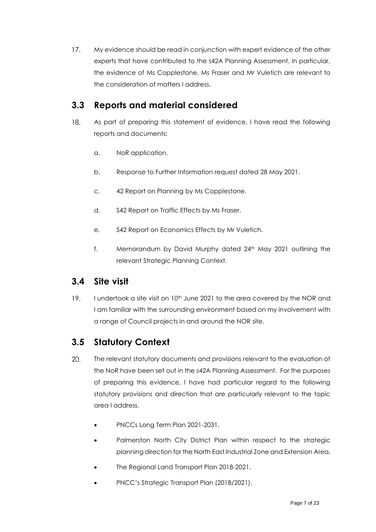$17.$ My evidence should be read in conjunction with expert evidence of the other experts that have contributed to the s42A Planning Assessment. In particular, the evidence of Ms Copplestone, Ms Fraser and Mr Vuletich are relevant to the consideration of matters I address.

#### <span id="page-6-0"></span>**3.3 Reports and material considered**

- 18. As part of preparing this statement of evidence, I have read the following reports and documents:
	- a. NoR application.
	- b. Response to Further Information request dated 28 May 2021.
	- c. 42 Report on Planning by Ms Copplestone.
	- d. S42 Report on Traffic Effects by Ms Fraser.
	- e. S42 Report on Economics Effects by Mr Vuletich.
	- f. Memorandum by David Murphy dated 24<sup>th</sup> May 2021 outlining the relevant Strategic Planning Context.

#### <span id="page-6-1"></span>**3.4 Site visit**

 $19.$ I undertook a site visit on 10th June 2021 to the area covered by the NOR and I am familiar with the surrounding environment based on my involvement with a range of Council projects in and around the NOR site.

#### <span id="page-6-2"></span>**3.5 Statutory Context**

- $20.$ The relevant statutory documents and provisions relevant to the evaluation of the NoR have been set out in the s42A Planning Assessment. For the purposes of preparing this evidence, I have had particular regard to the following statutory provisions and direction that are particularly relevant to the topic area I address.
	- PNCCs Long Term Plan 2021-2031.
	- Palmerston North City District Plan within respect to the strategic planning direction for the North East Industrial Zone and Extension Area.
	- The Regional Land Transport Plan 2018-2021.
	- PNCC's Strategic Transport Plan (2018/2021).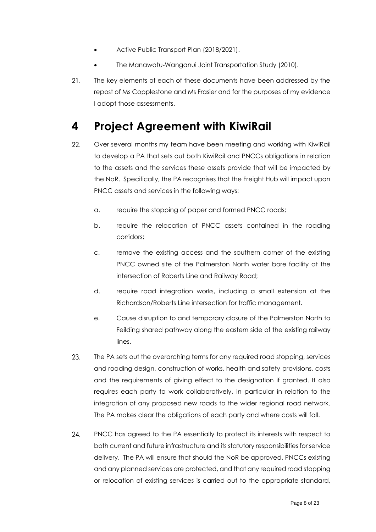- Active Public Transport Plan (2018/2021).
- The Manawatu-Wanganui Joint Transportation Study (2010).
- $21.$ The key elements of each of these documents have been addressed by the repost of Ms Copplestone and Ms Frasier and for the purposes of my evidence I adopt those assessments.

### <span id="page-7-0"></span>**4 Project Agreement with KiwiRail**

- 22. Over several months my team have been meeting and working with KiwiRail to develop a PA that sets out both KiwiRail and PNCCs obligations in relation to the assets and the services these assets provide that will be impacted by the NoR. Specifically, the PA recognises that the Freight Hub will impact upon PNCC assets and services in the following ways:
	- a. require the stopping of paper and formed PNCC roads;
	- b. require the relocation of PNCC assets contained in the roading corridors;
	- c. remove the existing access and the southern corner of the existing PNCC owned site of the Palmerston North water bore facility at the intersection of Roberts Line and Railway Road;
	- d. require road integration works, including a small extension at the Richardson/Roberts Line intersection for traffic management.
	- e. Cause disruption to and temporary closure of the Palmerston North to Feilding shared pathway along the eastern side of the existing railway lines.
- 23. The PA sets out the overarching terms for any required road stopping, services and roading design, construction of works, health and safety provisions, costs and the requirements of giving effect to the designation if granted. It also requires each party to work collaboratively, in particular in relation to the integration of any proposed new roads to the wider regional road network. The PA makes clear the obligations of each party and where costs will fall.
- 24. PNCC has agreed to the PA essentially to protect its interests with respect to both current and future infrastructure and its statutory responsibilities for service delivery. The PA will ensure that should the NoR be approved, PNCCs existing and any planned services are protected, and that any required road stopping or relocation of existing services is carried out to the appropriate standard,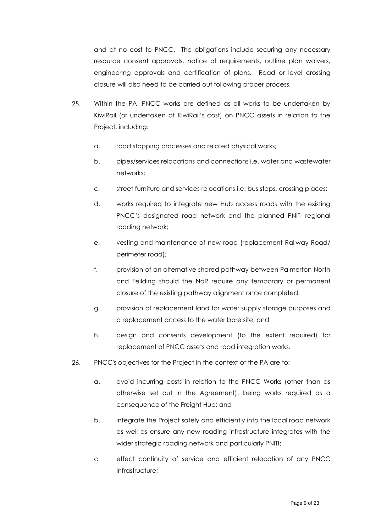and at no cost to PNCC. The obligations include securing any necessary resource consent approvals, notice of requirements, outline plan waivers, engineering approvals and certification of plans. Road or level crossing closure will also need to be carried out following proper process.

- 25. Within the PA, PNCC works are defined as all works to be undertaken by KiwiRail (or undertaken at KiwiRail's cost) on PNCC assets in relation to the Project, including:
	- a. road stopping processes and related physical works;
	- b. pipes/services relocations and connections i.e. water and wastewater networks;
	- c. street furniture and services relocations i.e. bus stops, crossing places;
	- d. works required to integrate new Hub access roads with the existing PNCC's designated road network and the planned PNITI regional roading network;
	- e. vesting and maintenance of new road (replacement Railway Road/ perimeter road);
	- f. provision of an alternative shared pathway between Palmerton North and Feilding should the NoR require any temporary or permanent closure of the existing pathway alignment once completed.
	- g. provision of replacement land for water supply storage purposes and a replacement access to the water bore site; and
	- h. design and consents development (to the extent required) for replacement of PNCC assets and road integration works.
- 26. PNCC's objectives for the Project in the context of the PA are to:
	- a. avoid incurring costs in relation to the PNCC Works (other than as otherwise set out in the Agreement), being works required as a consequence of the Freight Hub; and
	- b. integrate the Project safely and efficiently into the local road network as well as ensure any new roading infrastructure integrates with the wider strategic roading network and particularly PNITI;
	- c. effect continuity of service and efficient relocation of any PNCC Infrastructure;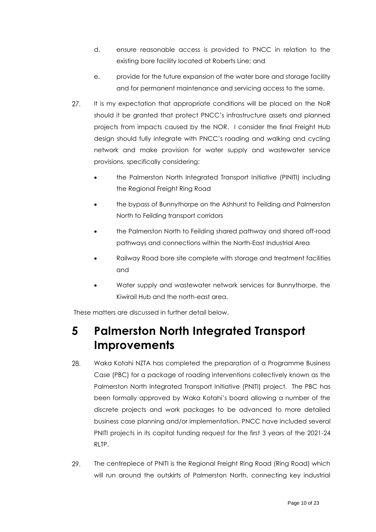- d. ensure reasonable access is provided to PNCC in relation to the existing bore facility located at Roberts Line; and
- e. provide for the future expansion of the water bore and storage facility and for permanent maintenance and servicing access to the same.
- $27.$ It is my expectation that appropriate conditions will be placed on the NoR should it be granted that protect PNCC's infrastructure assets and planned projects from impacts caused by the NOR. I consider the final Freight Hub design should fully integrate with PNCC's roading and walking and cycling network and make provision for water supply and wastewater service provisions, specifically considering:
	- the Palmerston North Integrated Transport Initiative (PINITI) including the Regional Freight Ring Road
	- the bypass of Bunnythorpe on the Ashhurst to Feilding and Palmerston North to Feilding transport corridors
	- the Palmerston North to Feilding shared pathway and shared off-road pathways and connections within the North-East Industrial Area
	- Railway Road bore site complete with storage and treatment facilities and
	- Water supply and wastewater network services for Bunnythorpe, the Kiwirail Hub and the north-east area.

These matters are discussed in further detail below.

## <span id="page-9-0"></span>**5 Palmerston North Integrated Transport Improvements**

- 28. Waka Kotahi NZTA has completed the preparation of a Programme Business Case (PBC) for a package of roading interventions collectively known as the Palmerston North Integrated Transport Initiative (PNITI) project. The PBC has been formally approved by Waka Kotahi's board allowing a number of the discrete projects and work packages to be advanced to more detailed business case planning and/or implementation. PNCC have included several PNITI projects in its capital funding request for the first 3 years of the 2021-24 RLTP.
- 29. The centrepiece of PNITI is the Regional Freight Ring Road (Ring Road) which will run around the outskirts of Palmerston North, connecting key industrial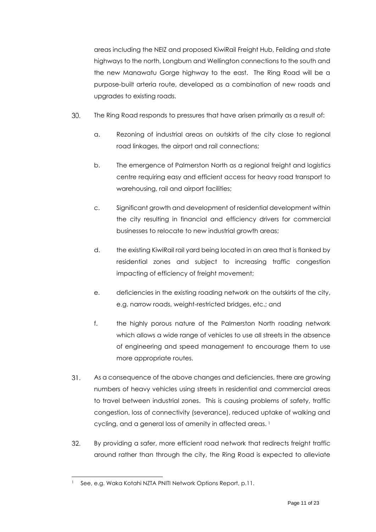areas including the NEIZ and proposed KiwiRail Freight Hub, Feilding and state highways to the north, Longburn and Wellington connections to the south and the new Manawatu Gorge highway to the east. The Ring Road will be a purpose-built arteria route, developed as a combination of new roads and upgrades to existing roads.

- 30. The Ring Road responds to pressures that have arisen primarily as a result of:
	- a. Rezoning of industrial areas on outskirts of the city close to regional road linkages, the airport and rail connections;
	- b. The emergence of Palmerston North as a regional freight and logistics centre requiring easy and efficient access for heavy road transport to warehousing, rail and airport facilities;
	- c. Significant growth and development of residential development within the city resulting in financial and efficiency drivers for commercial businesses to relocate to new industrial growth areas;
	- d. the existing KiwiRail rail yard being located in an area that is flanked by residential zones and subject to increasing traffic congestion impacting of efficiency of freight movement;
	- e. deficiencies in the existing roading network on the outskirts of the city, e.g. narrow roads, weight-restricted bridges, etc.; and
	- f. the highly porous nature of the Palmerston North roading network which allows a wide range of vehicles to use all streets in the absence of engineering and speed management to encourage them to use more appropriate routes.
- 31. As a consequence of the above changes and deficiencies, there are growing numbers of heavy vehicles using streets in residential and commercial areas to travel between industrial zones. This is causing problems of safety, traffic congestion, loss of connectivity (severance), reduced uptake of walking and cycling, and a general loss of amenity in affected areas.<sup>1</sup>
- $32.$ By providing a safer, more efficient road network that redirects freight traffic around rather than through the city, the Ring Road is expected to alleviate

See, e.g. Waka Kotahi NZTA PNITI Network Options Report, p.11.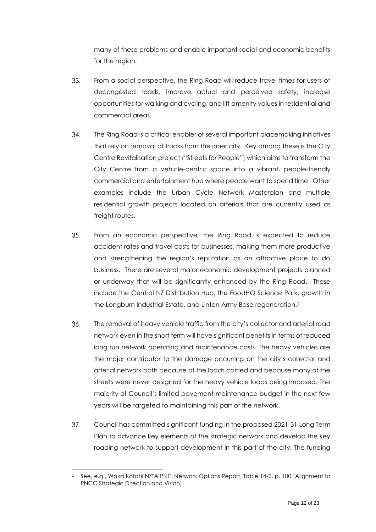many of these problems and enable important social and economic benefits for the region.

- 33. From a social perspective, the Ring Road will reduce travel times for users of decongested roads, improve actual and perceived safety, increase opportunities for walking and cycling, and lift amenity values in residential and commercial areas.
- 34. The Ring Road is a critical enabler of several important placemaking initiatives that rely on removal of trucks from the inner city. Key among these is the City Centre Revitalisation project ("Streets for People") which aims to transform the City Centre from a vehicle-centric space into a vibrant, people-friendly commercial and entertainment hub where people want to spend time. Other examples include the Urban Cycle Network Masterplan and multiple residential growth projects located on arterials that are currently used as freight routes.
- $35.$ From an economic perspective, the Ring Road is expected to reduce accident rates and travel costs for businesses, making them more productive and strengthening the region's reputation as an attractive place to do business. There are several major economic development projects planned or underway that will be significantly enhanced by the Ring Road. These include the Central NZ Distribution Hub, the FoodHQ Science Park, growth in the Longburn Industrial Estate, and Linton Army Base regeneration.<sup>2</sup>
- 36. The removal of heavy vehicle traffic from the city's collector and arterial road network even in the short term will have significant benefits in terms of reduced long run network operating and maintenance costs. The heavy vehicles are the major contributor to the damage occurring on the city's collector and arterial network both because of the loads carried and because many of the streets were never designed for the heavy vehicle loads being imposed. The majority of Council's limited pavement maintenance budget in the next few years will be targeted to maintaining this part of the network.
- $37.$ Council has committed significant funding in the proposed 2021-31 Long Term Plan to advance key elements of the strategic network and develop the key roading network to support development in this part of the city. The funding

<sup>2</sup> See, e.g., Waka Kotahi NZTA PNITI Network Options Report, Table 14-2, p. 100 (Alignment to PNCC Strategic Direction and Vision).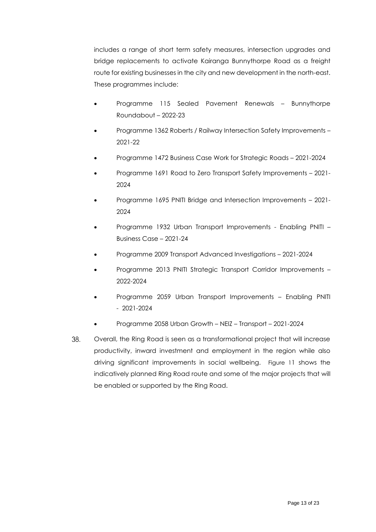includes a range of short term safety measures, intersection upgrades and bridge replacements to activate Kairanga Bunnythorpe Road as a freight route for existing businesses in the city and new development in the north-east. These programmes include:

- Programme 115 Sealed Pavement Renewals Bunnythorpe Roundabout – 2022-23
- Programme 1362 Roberts / Railway Intersection Safety Improvements 2021-22
- Programme 1472 Business Case Work for Strategic Roads 2021-2024
- Programme 1691 Road to Zero Transport Safety Improvements 2021- 2024
- Programme 1695 PNITI Bridge and Intersection Improvements 2021- 2024
- Programme 1932 Urban Transport Improvements Enabling PNITI Business Case – 2021-24
- Programme 2009 Transport Advanced Investigations 2021-2024
- Programme 2013 PNITI Strategic Transport Corridor Improvements 2022-2024
- Programme 2059 Urban Transport Improvements Enabling PNITI - 2021-2024
- Programme 2058 Urban Growth NEIZ Transport 2021-2024
- 38. Overall, the Ring Road is seen as a transformational project that will increase productivity, inward investment and employment in the region while also driving significant improvements in social wellbeing. [Figure 1](#page-13-1)1 shows the indicatively planned Ring Road route and some of the major projects that will be enabled or supported by the Ring Road.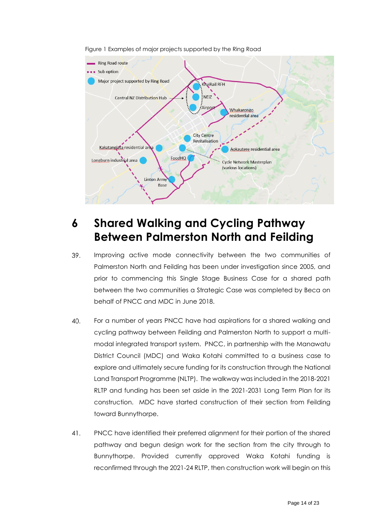<span id="page-13-1"></span>

Figure 1 Examples of major projects supported by the Ring Road

## <span id="page-13-0"></span>**6 Shared Walking and Cycling Pathway Between Palmerston North and Feilding**

- Improving active mode connectivity between the two communities of 39. Palmerston North and Feilding has been under investigation since 2005, and prior to commencing this Single Stage Business Case for a shared path between the two communities a Strategic Case was completed by Beca on behalf of PNCC and MDC in June 2018.
- 40. For a number of years PNCC have had aspirations for a shared walking and cycling pathway between Feilding and Palmerston North to support a multimodal integrated transport system. PNCC, in partnership with the Manawatu District Council (MDC) and Waka Kotahi committed to a business case to explore and ultimately secure funding for its construction through the National Land Transport Programme (NLTP). The walkway was included in the 2018-2021 RLTP and funding has been set aside in the 2021-2031 Long Term Plan for its construction. MDC have started construction of their section from Feilding toward Bunnythorpe.
- PNCC have identified their preferred alignment for their portion of the shared  $41.$ pathway and begun design work for the section from the city through to Bunnythorpe. Provided currently approved Waka Kotahi funding is reconfirmed through the 2021-24 RLTP, then construction work will begin on this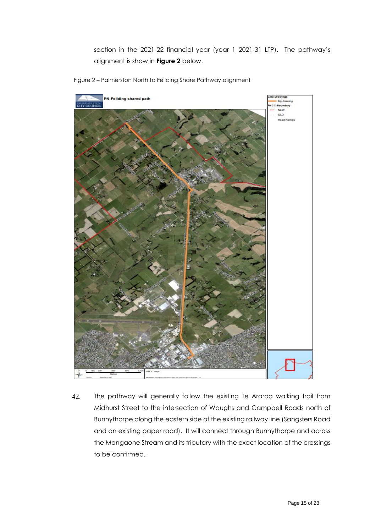section in the 2021-22 financial year (year 1 2021-31 LTP). The pathway's alignment is show in **Figure 2** below.



Figure 2 – Palmerston North to Feilding Share Pathway alignment

42. The pathway will generally follow the existing Te Araroa walking trail from Midhurst Street to the intersection of Waughs and Campbell Roads north of Bunnythorpe along the eastern side of the existing railway line (Sangsters Road and an existing paper road). It will connect through Bunnythorpe and across the Mangaone Stream and its tributary with the exact location of the crossings to be confirmed.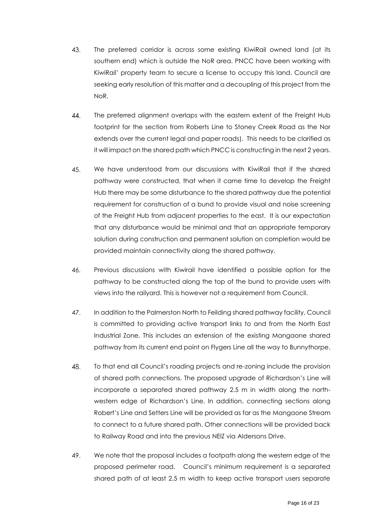- 43. The preferred corridor is across some existing KiwiRail owned land (at its southern end) which is outside the NoR area. PNCC have been working with KiwiRail' property team to secure a license to occupy this land. Council are seeking early resolution of this matter and a decoupling of this project from the NoR.
- $44$ The preferred alignment overlaps with the eastern extent of the Freight Hub footprint for the section from Roberts Line to Stoney Creek Road as the Nor extends over the current legal and paper roads). This needs to be clarified as it will impact on the shared path which PNCC is constructing in the next 2 years.
- 45. We have understood from our discussions with KiwiRail that if the shared pathway were constructed, that when it came time to develop the Freight Hub there may be some disturbance to the shared pathway due the potential requirement for construction of a bund to provide visual and noise screening of the Freight Hub from adjacent properties to the east. It is our expectation that any disturbance would be minimal and that an appropriate temporary solution during construction and permanent solution on completion would be provided maintain connectivity along the shared pathway.
- 46. Previous discussions with Kiwirail have identified a possible option for the pathway to be constructed along the top of the bund to provide users with views into the railyard. This is however not a requirement from Council.
- 47. In addition to the Palmerston North to Feilding shared pathway facility, Council is committed to providing active transport links to and from the North East Industrial Zone. This includes an extension of the existing Mangaone shared pathway from its current end point on Flygers Line all the way to Bunnythorpe.
- 48. To that end all Council's roading projects and re-zoning include the provision of shared path connections. The proposed upgrade of Richardson's Line will incorporate a separated shared pathway 2.5 m in width along the northwestern edge of Richardson's Line. In addition, connecting sections along Robert's Line and Setters Line will be provided as far as the Mangaone Stream to connect to a future shared path. Other connections will be provided back to Railway Road and into the previous NEIZ via Aldersons Drive.
- 49. We note that the proposal includes a footpath along the western edge of the proposed perimeter road. Council's minimum requirement is a separated shared path of at least 2.5 m width to keep active transport users separate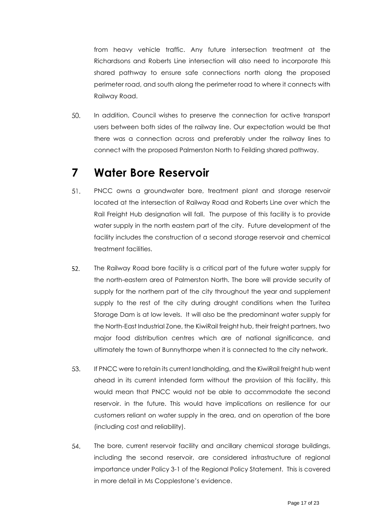from heavy vehicle traffic. Any future intersection treatment at the Richardsons and Roberts Line intersection will also need to incorporate this shared pathway to ensure safe connections north along the proposed perimeter road, and south along the perimeter road to where it connects with Railway Road.

50. In addition, Council wishes to preserve the connection for active transport users between both sides of the railway line. Our expectation would be that there was a connection across and preferably under the railway lines to connect with the proposed Palmerston North to Feilding shared pathway.

### <span id="page-16-0"></span>**7 Water Bore Reservoir**

- 51. PNCC owns a groundwater bore, treatment plant and storage reservoir located at the intersection of Railway Road and Roberts Line over which the Rail Freight Hub designation will fall. The purpose of this facility is to provide water supply in the north eastern part of the city. Future development of the facility includes the construction of a second storage reservoir and chemical treatment facilities.
- 52. The Railway Road bore facility is a critical part of the future water supply for the north-eastern area of Palmerston North. The bore will provide security of supply for the northern part of the city throughout the year and supplement supply to the rest of the city during drought conditions when the Turitea Storage Dam is at low levels. It will also be the predominant water supply for the North-East Industrial Zone, the KiwiRail freight hub, their freight partners, two major food distribution centres which are of national significance, and ultimately the town of Bunnythorpe when it is connected to the city network.
- 53. If PNCC were to retain its current landholding, and the KiwiRail freight hub went ahead in its current intended form without the provision of this facility, this would mean that PNCC would not be able to accommodate the second reservoir. in the future. This would have implications on resilience for our customers reliant on water supply in the area, and on operation of the bore (including cost and reliability).
- 54. The bore, current reservoir facility and ancillary chemical storage buildings, including the second reservoir, are considered infrastructure of regional importance under Policy 3-1 of the Regional Policy Statement. This is covered in more detail in Ms Copplestone's evidence.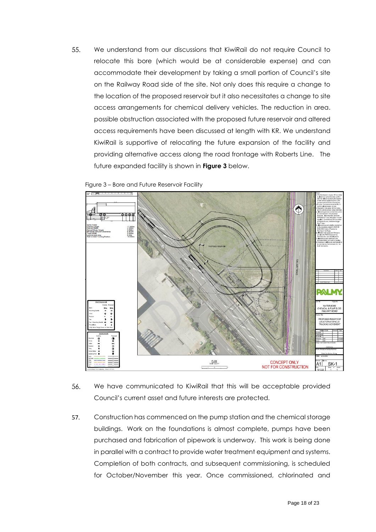55. We understand from our discussions that KiwiRail do not require Council to relocate this bore (which would be at considerable expense) and can accommodate their development by taking a small portion of Council's site on the Railway Road side of the site. Not only does this require a change to the location of the proposed reservoir but it also necessitates a change to site access arrangements for chemical delivery vehicles. The reduction in area. possible obstruction associated with the proposed future reservoir and altered access requirements have been discussed at length with KR. We understand KiwiRail is supportive of relocating the future expansion of the facility and providing alternative access along the road frontage with Roberts Line. The future expanded facility is shown in **Figure 3** below.





- 56. We have communicated to KiwiRail that this will be acceptable provided Council's current asset and future interests are protected.
- Construction has commenced on the pump station and the chemical storage  $57.$ buildings. Work on the foundations is almost complete, pumps have been purchased and fabrication of pipework is underway. This work is being done in parallel with a contract to provide water treatment equipment and systems. Completion of both contracts, and subsequent commissioning, is scheduled for October/November this year. Once commissioned, chlorinated and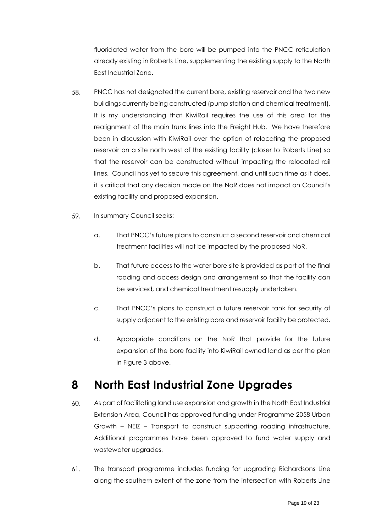fluoridated water from the bore will be pumped into the PNCC reticulation already existing in Roberts Line, supplementing the existing supply to the North East Industrial Zone.

- 58. PNCC has not designated the current bore, existing reservoir and the two new buildings currently being constructed (pump station and chemical treatment). It is my understanding that KiwiRail requires the use of this area for the realignment of the main trunk lines into the Freight Hub. We have therefore been in discussion with KiwiRail over the option of relocating the proposed reservoir on a site north west of the existing facility (closer to Roberts Line) so that the reservoir can be constructed without impacting the relocated rail lines. Council has yet to secure this agreement, and until such time as it does, it is critical that any decision made on the NoR does not impact on Council's existing facility and proposed expansion.
- 59. In summary Council seeks:
	- a. That PNCC's future plans to construct a second reservoir and chemical treatment facilities will not be impacted by the proposed NoR.
	- b. That future access to the water bore site is provided as part of the final roading and access design and arrangement so that the facility can be serviced, and chemical treatment resupply undertaken.
	- c. That PNCC's plans to construct a future reservoir tank for security of supply adjacent to the existing bore and reservoir facility be protected.
	- d. Appropriate conditions on the NoR that provide for the future expansion of the bore facility into KiwiRail owned land as per the plan in Figure 3 above.

### <span id="page-18-0"></span>**8 North East Industrial Zone Upgrades**

- 60. As part of facilitating land use expansion and growth in the North East Industrial Extension Area, Council has approved funding under Programme 2058 Urban Growth – NEIZ – Transport to construct supporting roading infrastructure. Additional programmes have been approved to fund water supply and wastewater upgrades.
- 61. The transport programme includes funding for upgrading Richardsons Line along the southern extent of the zone from the intersection with Roberts Line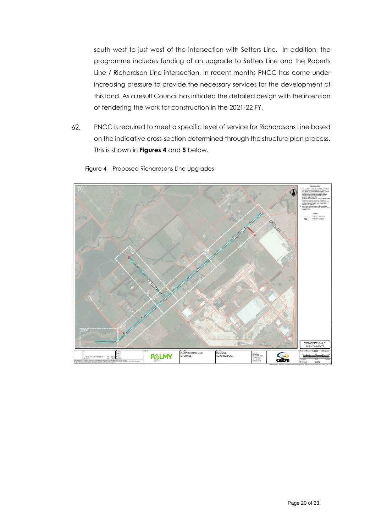south west to just west of the intersection with Setters Line. In addition, the programme includes funding of an upgrade to Setters Line and the Roberts Line / Richardson Line intersection. In recent months PNCC has come under increasing pressure to provide the necessary services for the development of this land. As a result Council has initiated the detailed design with the intention of tendering the work for construction in the 2021-22 FY.

 $62.$ PNCC is required to meet a specific level of service for Richardsons Line based on the indicative cross-section determined through the structure plan process. This is shown in **Figures 4** and **5** below.



Figure 4 – Proposed Richardsons Line Upgrades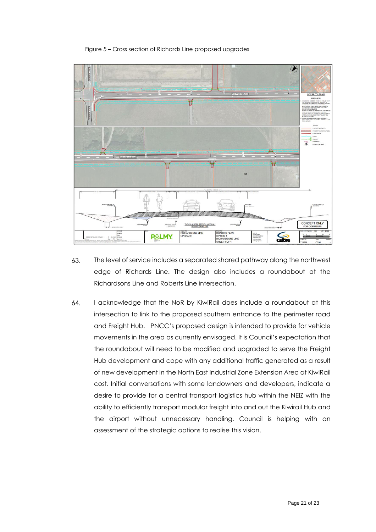Figure 5 – Cross section of Richards Line proposed upgrades



- 63. The level of service includes a separated shared pathway along the northwest edge of Richards Line. The design also includes a roundabout at the Richardsons Line and Roberts Line intersection.
- I acknowledge that the NoR by KiwiRail does include a roundabout at this 64. intersection to link to the proposed southern entrance to the perimeter road and Freight Hub. PNCC's proposed design is intended to provide for vehicle movements in the area as currently envisaged. It is Council's expectation that the roundabout will need to be modified and upgraded to serve the Freight Hub development and cope with any additional traffic generated as a result of new development in the North East Industrial Zone Extension Area at KiwiRail cost. Initial conversations with some landowners and developers, indicate a desire to provide for a central transport logistics hub within the NEIZ with the ability to efficiently transport modular freight into and out the Kiwirail Hub and the airport without unnecessary handling. Council is helping with an assessment of the strategic options to realise this vision.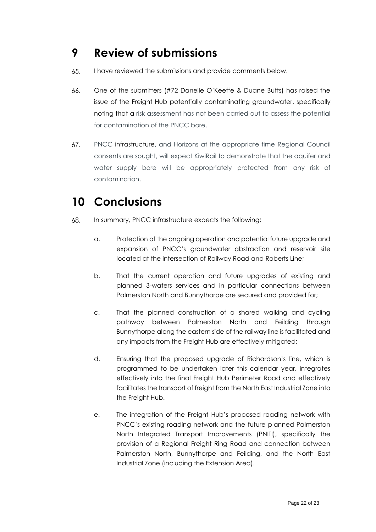### <span id="page-21-0"></span>**9 Review of submissions**

- 65. I have reviewed the submissions and provide comments below.
- 66. One of the submitters (#72 Danelle O'Keeffe & Duane Butts) has raised the issue of the Freight Hub potentially contaminating groundwater, specifically noting that a risk assessment has not been carried out to assess the potential for contamination of the PNCC bore.
- 67. PNCC infrastructure, and Horizons at the appropriate time Regional Council consents are sought, will expect KiwiRail to demonstrate that the aquifer and water supply bore will be appropriately protected from any risk of contamination.

# <span id="page-21-1"></span>**10 Conclusions**

- 68. In summary, PNCC infrastructure expects the following:
	- a. Protection of the ongoing operation and potential future upgrade and expansion of PNCC's groundwater abstraction and reservoir site located at the intersection of Railway Road and Roberts Line;
	- b. That the current operation and future upgrades of existing and planned 3-waters services and in particular connections between Palmerston North and Bunnythorpe are secured and provided for;
	- c. That the planned construction of a shared walking and cycling pathway between Palmerston North and Feilding through Bunnythorpe along the eastern side of the railway line is facilitated and any impacts from the Freight Hub are effectively mitigated;
	- d. Ensuring that the proposed upgrade of Richardson's line, which is programmed to be undertaken later this calendar year, integrates effectively into the final Freight Hub Perimeter Road and effectively facilitates the transport of freight from the North East Industrial Zone into the Freight Hub.
	- e. The integration of the Freight Hub's proposed roading network with PNCC's existing roading network and the future planned Palmerston North Integrated Transport Improvements (PNITI), specifically the provision of a Regional Freight Ring Road and connection between Palmerston North, Bunnythorpe and Feilding, and the North East Industrial Zone (including the Extension Area).